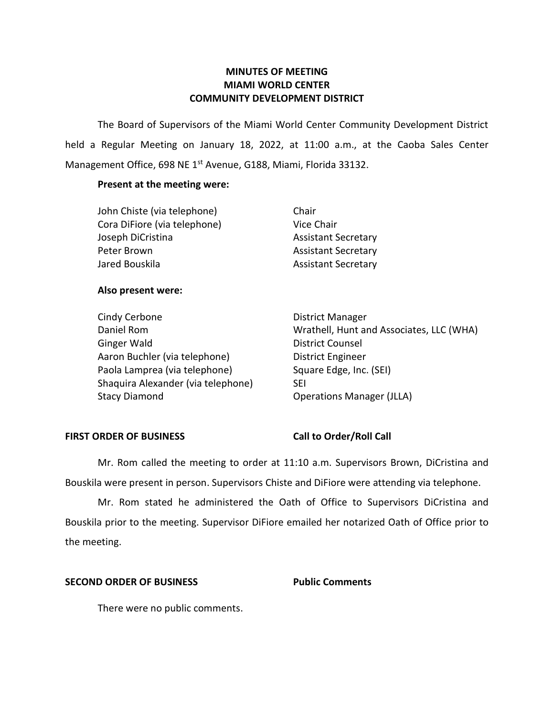### **MINUTES OF MEETING MIAMI WORLD CENTER COMMUNITY DEVELOPMENT DISTRICT**

 The Board of Supervisors of the Miami World Center Community Development District held a Regular Meeting on January 18, 2022, at 11:00 a.m., at the Caoba Sales Center Management Office, 698 NE 1<sup>st</sup> Avenue, G188, Miami, Florida 33132.

### **Present at the meeting were:**

| John Chiste (via telephone)  | Chair                      |
|------------------------------|----------------------------|
| Cora DiFiore (via telephone) | Vice Chair                 |
| Joseph DiCristina            | <b>Assistant Secretary</b> |
| Peter Brown                  | <b>Assistant Secretary</b> |
| Jared Bouskila               | <b>Assistant Secretary</b> |

#### **Also present were:**

| Cindy Cerbone                      | District Manager                         |
|------------------------------------|------------------------------------------|
| Daniel Rom                         | Wrathell, Hunt and Associates, LLC (WHA) |
| <b>Ginger Wald</b>                 | <b>District Counsel</b>                  |
| Aaron Buchler (via telephone)      | District Engineer                        |
| Paola Lamprea (via telephone)      | Square Edge, Inc. (SEI)                  |
| Shaquira Alexander (via telephone) | <b>SEI</b>                               |
| <b>Stacy Diamond</b>               | <b>Operations Manager (JLLA)</b>         |

#### FIRST ORDER OF BUSINESS Call to Order/Roll Call

 Bouskila were present in person. Supervisors Chiste and DiFiore were attending via telephone. Mr. Rom called the meeting to order at 11:10 a.m. Supervisors Brown, DiCristina and

Mr. Rom stated he administered the Oath of Office to Supervisors DiCristina and Bouskila prior to the meeting. Supervisor DiFiore emailed her notarized Oath of Office prior to the meeting.

### **SECOND ORDER OF BUSINESS Public Comments**

There were no public comments.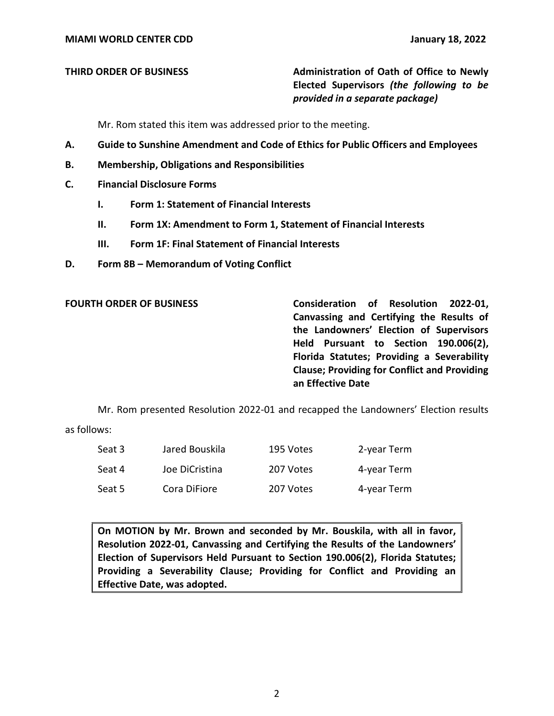**THIRD ORDER OF BUSINESS** Administration of Oath of Office to Newly  **Elected Supervisors** *(the following to be provided in a separate package)* 

Mr. Rom stated this item was addressed prior to the meeting.

- **A. Guide to Sunshine Amendment and Code of Ethics for Public Officers and Employees**
- **B. Membership, Obligations and Responsibilities**
- **C. Financial Disclosure Forms** 
	- **I. Form 1: Statement of Financial Interests**
	- **II. Form 1X: Amendment to Form 1, Statement of Financial Interests**
	- **III. Form 1F: Final Statement of Financial Interests**
- **D. Form 8B – Memorandum of Voting Conflict**

FOURTH ORDER OF BUSINESS **Consideration of Resolution 2022-01**,  **Canvassing and Certifying the Results of the Landowners' Election of Supervisors Florida Statutes; Providing a Severability Clause; Providing for Conflict and Providing an Effective Date Held Pursuant to Section 190.006(2),** 

Mr. Rom presented Resolution 2022-01 and recapped the Landowners' Election results

as follows:

| Seat 3 | Jared Bouskila | 195 Votes | 2-year Term |
|--------|----------------|-----------|-------------|
| Seat 4 | Joe DiCristina | 207 Votes | 4-year Term |
| Seat 5 | Cora DiFiore   | 207 Votes | 4-year Term |

 **On MOTION by Mr. Brown and seconded by Mr. Bouskila, with all in favor, Resolution 2022-01, Canvassing and Certifying the Results of the Landowners' Election of Supervisors Held Pursuant to Section 190.006(2), Florida Statutes; Providing a Severability Clause; Providing for Conflict and Providing an Effective Date, was adopted.**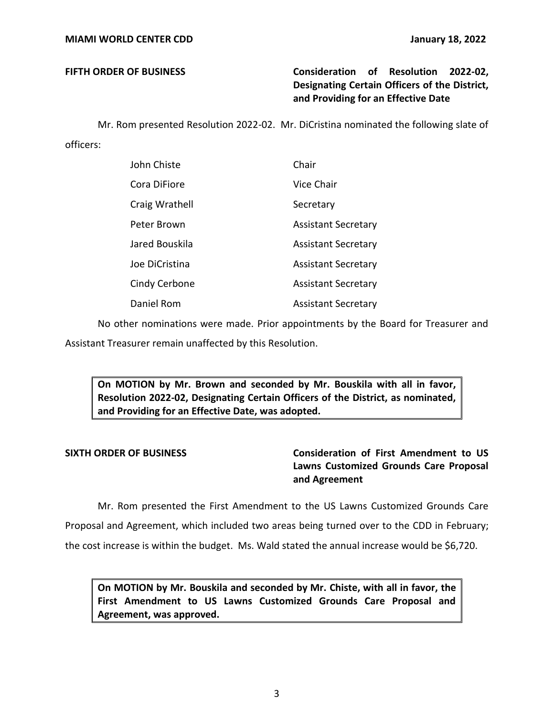## **FIFTH ORDER OF BUSINESS Consideration of Resolution 2022-02, Designating Certain Officers of the District, and Providing for an Effective Date**

 Mr. Rom presented Resolution 2022-02. Mr. DiCristina nominated the following slate of officers:

| John Chiste    | Chair                      |
|----------------|----------------------------|
| Cora DiFiore   | Vice Chair                 |
| Craig Wrathell | Secretary                  |
| Peter Brown    | <b>Assistant Secretary</b> |
| Jared Bouskila | <b>Assistant Secretary</b> |
| Joe DiCristina | <b>Assistant Secretary</b> |
| Cindy Cerbone  | <b>Assistant Secretary</b> |
| Daniel Rom     | <b>Assistant Secretary</b> |

No other nominations were made. Prior appointments by the Board for Treasurer and

Assistant Treasurer remain unaffected by this Resolution.

 **On MOTION by Mr. Brown and seconded by Mr. Bouskila with all in favor, Resolution 2022-02, Designating Certain Officers of the District, as nominated, and Providing for an Effective Date, was adopted.** 

## **SIXTH ORDER OF BUSINESS Consideration of First Amendment to US Lawns Customized Grounds Care Proposal and Agreement**

 Proposal and Agreement, which included two areas being turned over to the CDD in February; Mr. Rom presented the First Amendment to the US Lawns Customized Grounds Care the cost increase is within the budget. Ms. Wald stated the annual increase would be \$6,720.

 **On MOTION by Mr. Bouskila and seconded by Mr. Chiste, with all in favor, the First Amendment to US Lawns Customized Grounds Care Proposal and Agreement, was approved.**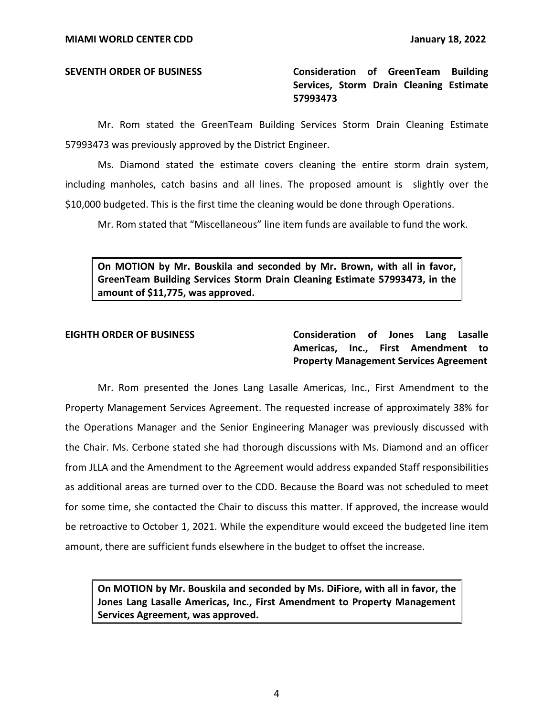**SEVENTH ORDER OF BUSINESS Consideration of GreenTeam Building Services, Storm Drain Cleaning Estimate 57993473** 

Mr. Rom stated the GreenTeam Building Services Storm Drain Cleaning Estimate 57993473 was previously approved by the District Engineer.

Ms. Diamond stated the estimate covers cleaning the entire storm drain system, including manholes, catch basins and all lines. The proposed amount is slightly over the \$10,000 budgeted. This is the first time the cleaning would be done through Operations.

Mr. Rom stated that "Miscellaneous" line item funds are available to fund the work.

 **On MOTION by Mr. Bouskila and seconded by Mr. Brown, with all in favor, GreenTeam Building Services Storm Drain Cleaning Estimate 57993473, in the amount of \$11,775, was approved.** 

 **EIGHTH ORDER OF BUSINESS Consideration of Jones Lang Lasalle Americas, Inc., First Amendment to Property Management Services Agreement** 

Mr. Rom presented the Jones Lang Lasalle Americas, Inc., First Amendment to the Property Management Services Agreement. The requested increase of approximately 38% for the Operations Manager and the Senior Engineering Manager was previously discussed with the Chair. Ms. Cerbone stated she had thorough discussions with Ms. Diamond and an officer from JLLA and the Amendment to the Agreement would address expanded Staff responsibilities as additional areas are turned over to the CDD. Because the Board was not scheduled to meet for some time, she contacted the Chair to discuss this matter. If approved, the increase would be retroactive to October 1, 2021. While the expenditure would exceed the budgeted line item amount, there are sufficient funds elsewhere in the budget to offset the increase.

 **On MOTION by Mr. Bouskila and seconded by Ms. DiFiore, with all in favor, the Jones Lang Lasalle Americas, Inc., First Amendment to Property Management Services Agreement, was approved.**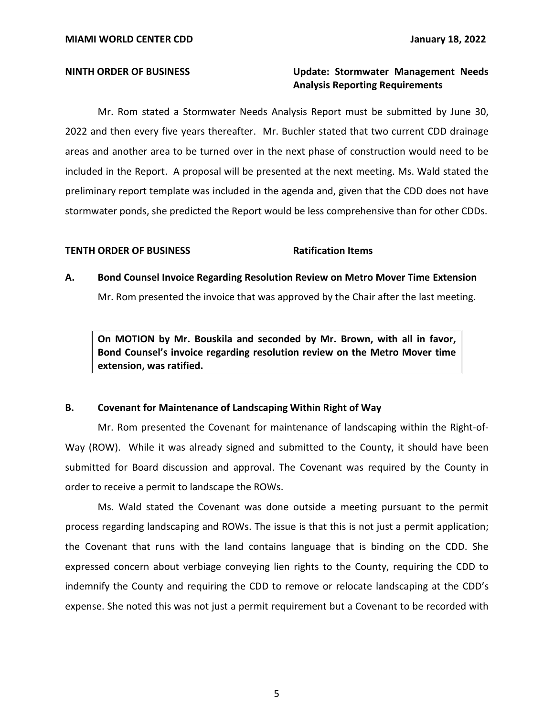### **NINTH ORDER OF BUSINESS Update: Stormwater Management Needs Analysis Reporting Requirements**

Mr. Rom stated a Stormwater Needs Analysis Report must be submitted by June 30, 2022 and then every five years thereafter. Mr. Buchler stated that two current CDD drainage areas and another area to be turned over in the next phase of construction would need to be included in the Report. A proposal will be presented at the next meeting. Ms. Wald stated the preliminary report template was included in the agenda and, given that the CDD does not have stormwater ponds, she predicted the Report would be less comprehensive than for other CDDs.

#### **TENTH ORDER OF BUSINESS** Ratification Items

# **A. Bond Counsel Invoice Regarding Resolution Review on Metro Mover Time Extension**  Mr. Rom presented the invoice that was approved by the Chair after the last meeting.

 **On MOTION by Mr. Bouskila and seconded by Mr. Brown, with all in favor, Bond Counsel's invoice regarding resolution review on the Metro Mover time extension, was ratified.** 

#### **B. Covenant for Maintenance of Landscaping Within Right of Way**

Mr. Rom presented the Covenant for maintenance of landscaping within the Right-of-Way (ROW). While it was already signed and submitted to the County, it should have been submitted for Board discussion and approval. The Covenant was required by the County in order to receive a permit to landscape the ROWs.

Ms. Wald stated the Covenant was done outside a meeting pursuant to the permit process regarding landscaping and ROWs. The issue is that this is not just a permit application; the Covenant that runs with the land contains language that is binding on the CDD. She expressed concern about verbiage conveying lien rights to the County, requiring the CDD to indemnify the County and requiring the CDD to remove or relocate landscaping at the CDD's expense. She noted this was not just a permit requirement but a Covenant to be recorded with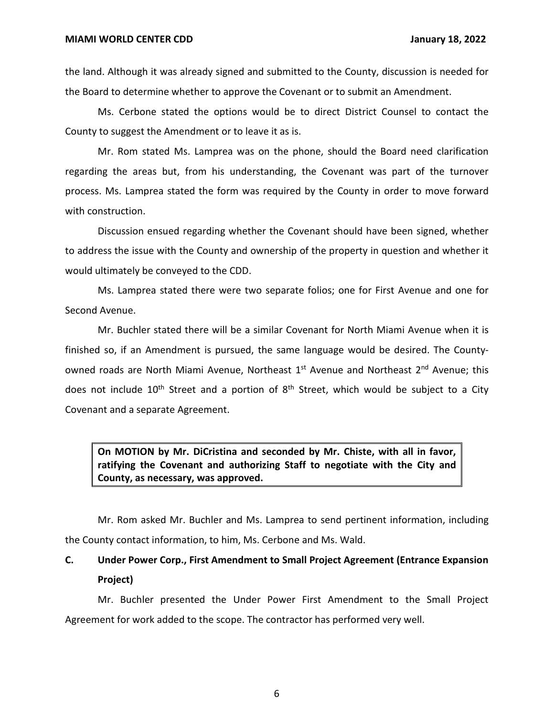the land. Although it was already signed and submitted to the County, discussion is needed for the Board to determine whether to approve the Covenant or to submit an Amendment.

Ms. Cerbone stated the options would be to direct District Counsel to contact the County to suggest the Amendment or to leave it as is.

Mr. Rom stated Ms. Lamprea was on the phone, should the Board need clarification regarding the areas but, from his understanding, the Covenant was part of the turnover process. Ms. Lamprea stated the form was required by the County in order to move forward with construction.

Discussion ensued regarding whether the Covenant should have been signed, whether to address the issue with the County and ownership of the property in question and whether it would ultimately be conveyed to the CDD.

Ms. Lamprea stated there were two separate folios; one for First Avenue and one for Second Avenue.

Mr. Buchler stated there will be a similar Covenant for North Miami Avenue when it is finished so, if an Amendment is pursued, the same language would be desired. The Countyowned roads are North Miami Avenue, Northeast 1<sup>st</sup> Avenue and Northeast 2<sup>nd</sup> Avenue; this does not include  $10<sup>th</sup>$  Street and a portion of  $8<sup>th</sup>$  Street, which would be subject to a City Covenant and a separate Agreement.

 **On MOTION by Mr. DiCristina and seconded by Mr. Chiste, with all in favor, ratifying the Covenant and authorizing Staff to negotiate with the City and County, as necessary, was approved.** 

Mr. Rom asked Mr. Buchler and Ms. Lamprea to send pertinent information, including the County contact information, to him, Ms. Cerbone and Ms. Wald.

## **C. Under Power Corp., First Amendment to Small Project Agreement (Entrance Expansion Project)**

Mr. Buchler presented the Under Power First Amendment to the Small Project Agreement for work added to the scope. The contractor has performed very well.

6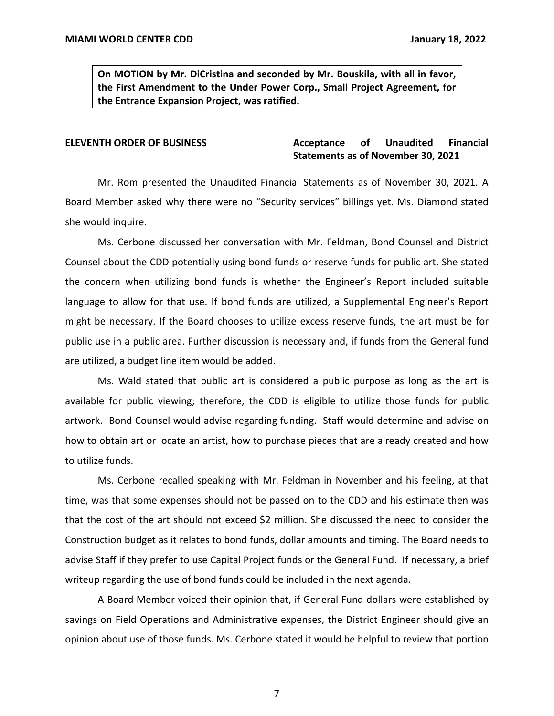**On MOTION by Mr. DiCristina and seconded by Mr. Bouskila, with all in favor, the First Amendment to the Under Power Corp., Small Project Agreement, for the Entrance Expansion Project, was ratified.** 

#### **Unaudited Statements as of November 30, 2021 ELEVENTH ORDER OF BUSINESS Acceptance of Unaudited Financial**

 Mr. Rom presented the Unaudited Financial Statements as of November 30, 2021. A Board Member asked why there were no "Security services" billings yet. Ms. Diamond stated she would inquire.

 Ms. Cerbone discussed her conversation with Mr. Feldman, Bond Counsel and District Counsel about the CDD potentially using bond funds or reserve funds for public art. She stated the concern when utilizing bond funds is whether the Engineer's Report included suitable language to allow for that use. If bond funds are utilized, a Supplemental Engineer's Report might be necessary. If the Board chooses to utilize excess reserve funds, the art must be for public use in a public area. Further discussion is necessary and, if funds from the General fund are utilized, a budget line item would be added.

Ms. Wald stated that public art is considered a public purpose as long as the art is available for public viewing; therefore, the CDD is eligible to utilize those funds for public artwork. Bond Counsel would advise regarding funding. Staff would determine and advise on how to obtain art or locate an artist, how to purchase pieces that are already created and how to utilize funds.

Ms. Cerbone recalled speaking with Mr. Feldman in November and his feeling, at that time, was that some expenses should not be passed on to the CDD and his estimate then was that the cost of the art should not exceed \$2 million. She discussed the need to consider the Construction budget as it relates to bond funds, dollar amounts and timing. The Board needs to advise Staff if they prefer to use Capital Project funds or the General Fund. If necessary, a brief writeup regarding the use of bond funds could be included in the next agenda.

A Board Member voiced their opinion that, if General Fund dollars were established by savings on Field Operations and Administrative expenses, the District Engineer should give an opinion about use of those funds. Ms. Cerbone stated it would be helpful to review that portion

7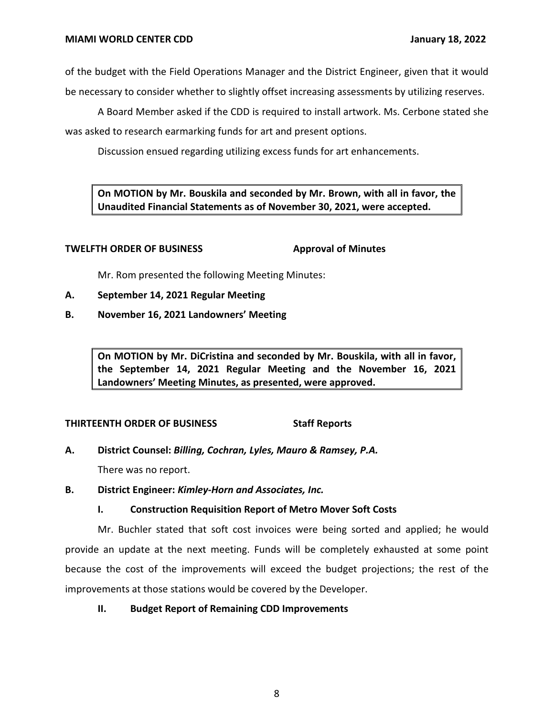of the budget with the Field Operations Manager and the District Engineer, given that it would be necessary to consider whether to slightly offset increasing assessments by utilizing reserves.

A Board Member asked if the CDD is required to install artwork. Ms. Cerbone stated she was asked to research earmarking funds for art and present options.

Discussion ensued regarding utilizing excess funds for art enhancements.

 **On MOTION by Mr. Bouskila and seconded by Mr. Brown, with all in favor, the Unaudited Financial Statements as of November 30, 2021, were accepted.** 

### **TWELFTH ORDER OF BUSINESS**

**Approval of Minutes** 

Mr. Rom presented the following Meeting Minutes:

- **A. September 14, 2021 Regular Meeting**
- **B. November 16, 2021 Landowners' Meeting**

 **On MOTION by Mr. DiCristina and seconded by Mr. Bouskila, with all in favor, the September 14, 2021 Regular Meeting and the November 16, 2021 Landowners' Meeting Minutes, as presented, were approved.** 

### **THIRTEENTH ORDER OF BUSINESS Staff Reports**

 **A. District Counsel:** *Billing, Cochran, Lyles, Mauro & Ramsey, P.A.* 

There was no report.

 **B. District Engineer:** *Kimley-Horn and Associates, Inc.* 

## **I. Construction Requisition Report of Metro Mover Soft Costs**

 Mr. Buchler stated that soft cost invoices were being sorted and applied; he would provide an update at the next meeting. Funds will be completely exhausted at some point because the cost of the improvements will exceed the budget projections; the rest of the improvements at those stations would be covered by the Developer.

### **II. Budget Report of Remaining CDD Improvements**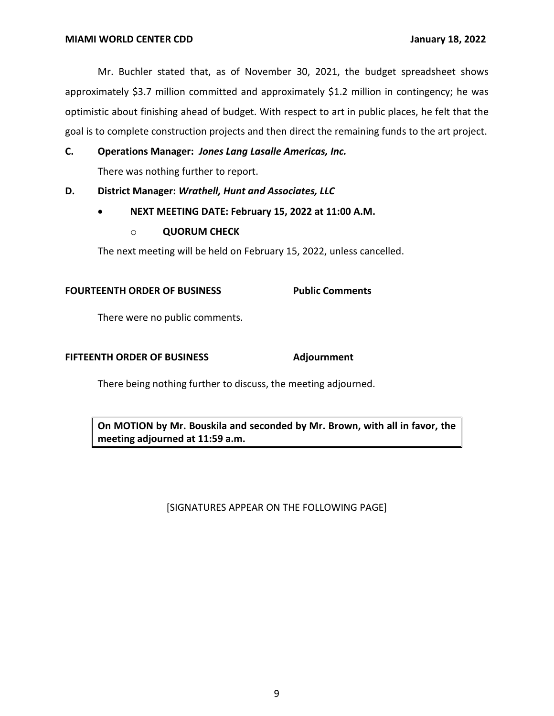Mr. Buchler stated that, as of November 30, 2021, the budget spreadsheet shows approximately \$3.7 million committed and approximately \$1.2 million in contingency; he was optimistic about finishing ahead of budget. With respect to art in public places, he felt that the goal is to complete construction projects and then direct the remaining funds to the art project.

#### **C. Operations Manager:** *Jones Lang Lasalle Americas, Inc.*

There was nothing further to report.

 **D. District Manager:** *Wrathell, Hunt and Associates, LLC* 

- **NEXT MEETING DATE: February 15, 2022 at 11:00 A.M.** 
	- o **QUORUM CHECK**

The next meeting will be held on February 15, 2022, unless cancelled.

#### **FOURTEENTH ORDER OF BUSINESS Public Comments**

There were no public comments.

### **FIFTEENTH ORDER OF BUSINESS Adjournment**

There being nothing further to discuss, the meeting adjourned.

 **On MOTION by Mr. Bouskila and seconded by Mr. Brown, with all in favor, the meeting adjourned at 11:59 a.m.** 

### [SIGNATURES APPEAR ON THE FOLLOWING PAGE]